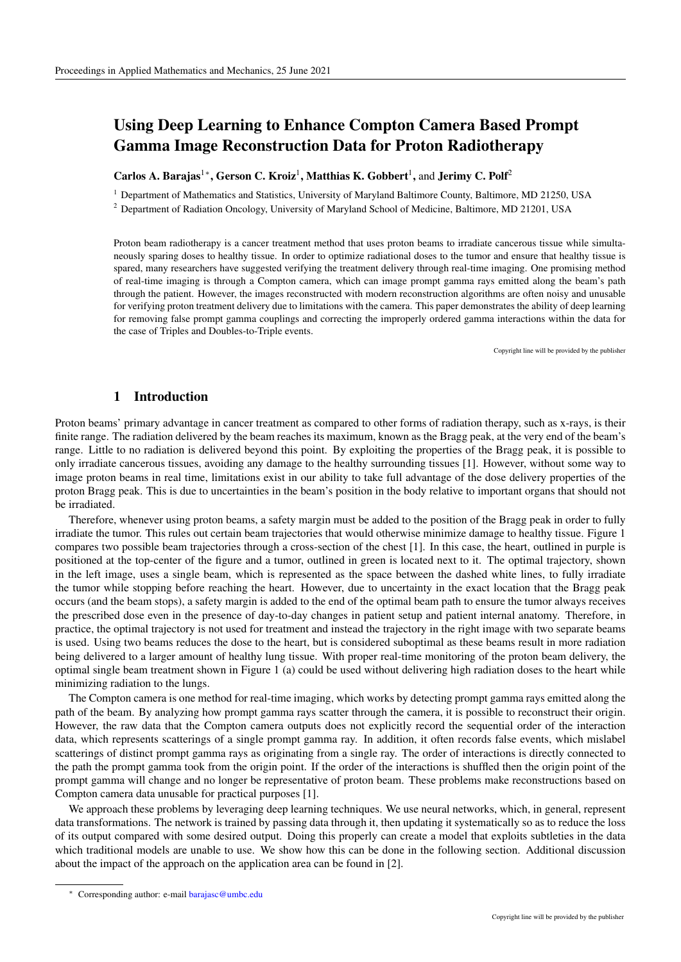# Using Deep Learning to Enhance Compton Camera Based Prompt Gamma Image Reconstruction Data for Proton Radiotherapy

## Carlos A. Barajas<sup>1</sup>\*, Gerson C. Kroiz<sup>1</sup>, Matthias K. Gobbert<sup>1</sup>, and Jerimy C. Polf<sup>2</sup>

<sup>1</sup> Department of Mathematics and Statistics, University of Maryland Baltimore County, Baltimore, MD 21250, USA

<sup>2</sup> Department of Radiation Oncology, University of Maryland School of Medicine, Baltimore, MD 21201, USA

Proton beam radiotherapy is a cancer treatment method that uses proton beams to irradiate cancerous tissue while simultaneously sparing doses to healthy tissue. In order to optimize radiational doses to the tumor and ensure that healthy tissue is spared, many researchers have suggested verifying the treatment delivery through real-time imaging. One promising method of real-time imaging is through a Compton camera, which can image prompt gamma rays emitted along the beam's path through the patient. However, the images reconstructed with modern reconstruction algorithms are often noisy and unusable for verifying proton treatment delivery due to limitations with the camera. This paper demonstrates the ability of deep learning for removing false prompt gamma couplings and correcting the improperly ordered gamma interactions within the data for the case of Triples and Doubles-to-Triple events.

Copyright line will be provided by the publisher

### 1 Introduction

<span id="page-0-0"></span>Proton beams' primary advantage in cancer treatment as compared to other forms of radiation therapy, such as x-rays, is their finite range. The radiation delivered by the beam reaches its maximum, known as the Bragg peak, at the very end of the beam's range. Little to no radiation is delivered beyond this point. By exploiting the properties of the Bragg peak, it is possible to only irradiate cancerous tissues, avoiding any damage to the healthy surrounding tissues [\[1\]](#page-1-0). However, without some way to image proton beams in real time, limitations exist in our ability to take full advantage of the dose delivery properties of the proton Bragg peak. This is due to uncertainties in the beam's position in the body relative to important organs that should not be irradiated.

Therefore, whenever using proton beams, a safety margin must be added to the position of the Bragg peak in order to fully irradiate the tumor. This rules out certain beam trajectories that would otherwise minimize damage to healthy tissue. Figure [1](#page-1-1) compares two possible beam trajectories through a cross-section of the chest [\[1\]](#page-1-0). In this case, the heart, outlined in purple is positioned at the top-center of the figure and a tumor, outlined in green is located next to it. The optimal trajectory, shown in the left image, uses a single beam, which is represented as the space between the dashed white lines, to fully irradiate the tumor while stopping before reaching the heart. However, due to uncertainty in the exact location that the Bragg peak occurs (and the beam stops), a safety margin is added to the end of the optimal beam path to ensure the tumor always receives the prescribed dose even in the presence of day-to-day changes in patient setup and patient internal anatomy. Therefore, in practice, the optimal trajectory is not used for treatment and instead the trajectory in the right image with two separate beams is used. Using two beams reduces the dose to the heart, but is considered suboptimal as these beams result in more radiation being delivered to a larger amount of healthy lung tissue. With proper real-time monitoring of the proton beam delivery, the optimal single beam treatment shown in Figure [1](#page-1-1) (a) could be used without delivering high radiation doses to the heart while minimizing radiation to the lungs.

The Compton camera is one method for real-time imaging, which works by detecting prompt gamma rays emitted along the path of the beam. By analyzing how prompt gamma rays scatter through the camera, it is possible to reconstruct their origin. However, the raw data that the Compton camera outputs does not explicitly record the sequential order of the interaction data, which represents scatterings of a single prompt gamma ray. In addition, it often records false events, which mislabel scatterings of distinct prompt gamma rays as originating from a single ray. The order of interactions is directly connected to the path the prompt gamma took from the origin point. If the order of the interactions is shuffled then the origin point of the prompt gamma will change and no longer be representative of proton beam. These problems make reconstructions based on Compton camera data unusable for practical purposes [\[1\]](#page-1-0).

We approach these problems by leveraging deep learning techniques. We use neural networks, which, in general, represent data transformations. The network is trained by passing data through it, then updating it systematically so as to reduce the loss of its output compared with some desired output. Doing this properly can create a model that exploits subtleties in the data which traditional models are unable to use. We show how this can be done in the following section. Additional discussion about the impact of the approach on the application area can be found in [\[2\]](#page-1-2).

<sup>∗</sup> Corresponding author: e-mail <barajasc@umbc.edu>